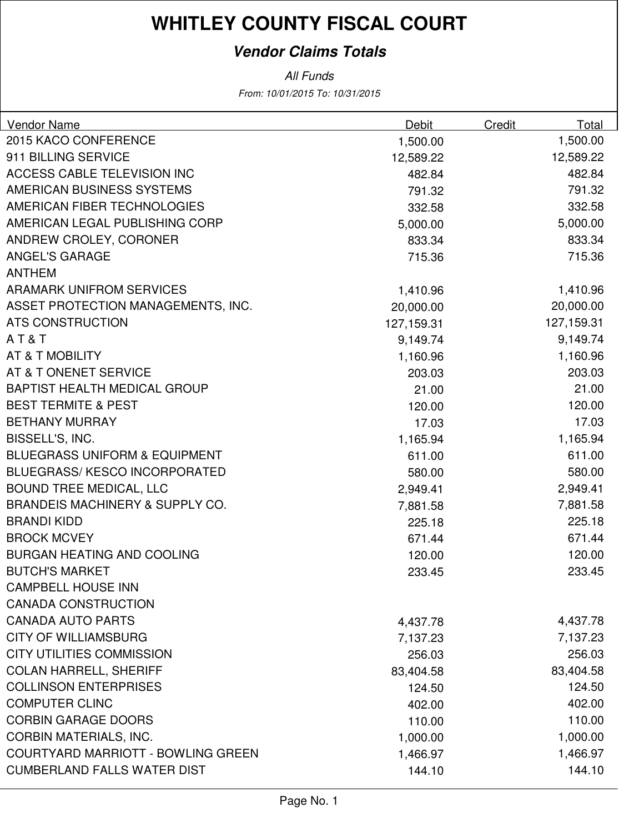### **Vendor Claims Totals**

| Vendor Name                                | Debit      | Credit | Total      |
|--------------------------------------------|------------|--------|------------|
| 2015 KACO CONFERENCE                       | 1,500.00   |        | 1,500.00   |
| 911 BILLING SERVICE                        | 12,589.22  |        | 12,589.22  |
| <b>ACCESS CABLE TELEVISION INC</b>         | 482.84     |        | 482.84     |
| AMERICAN BUSINESS SYSTEMS                  | 791.32     |        | 791.32     |
| AMERICAN FIBER TECHNOLOGIES                | 332.58     |        | 332.58     |
| AMERICAN LEGAL PUBLISHING CORP             | 5,000.00   |        | 5,000.00   |
| ANDREW CROLEY, CORONER                     | 833.34     |        | 833.34     |
| <b>ANGEL'S GARAGE</b>                      | 715.36     |        | 715.36     |
| <b>ANTHEM</b>                              |            |        |            |
| <b>ARAMARK UNIFROM SERVICES</b>            | 1,410.96   |        | 1,410.96   |
| ASSET PROTECTION MANAGEMENTS, INC.         | 20,000.00  |        | 20,000.00  |
| <b>ATS CONSTRUCTION</b>                    | 127,159.31 |        | 127,159.31 |
| AT&T                                       | 9,149.74   |        | 9,149.74   |
| AT & T MOBILITY                            | 1,160.96   |        | 1,160.96   |
| AT & T ONENET SERVICE                      | 203.03     |        | 203.03     |
| <b>BAPTIST HEALTH MEDICAL GROUP</b>        | 21.00      |        | 21.00      |
| <b>BEST TERMITE &amp; PEST</b>             | 120.00     |        | 120.00     |
| <b>BETHANY MURRAY</b>                      | 17.03      |        | 17.03      |
| BISSELL'S, INC.                            | 1,165.94   |        | 1,165.94   |
| <b>BLUEGRASS UNIFORM &amp; EQUIPMENT</b>   | 611.00     |        | 611.00     |
| <b>BLUEGRASS/KESCO INCORPORATED</b>        | 580.00     |        | 580.00     |
| <b>BOUND TREE MEDICAL, LLC</b>             | 2,949.41   |        | 2,949.41   |
| <b>BRANDEIS MACHINERY &amp; SUPPLY CO.</b> | 7,881.58   |        | 7,881.58   |
| <b>BRANDI KIDD</b>                         | 225.18     |        | 225.18     |
| <b>BROCK MCVEY</b>                         | 671.44     |        | 671.44     |
| <b>BURGAN HEATING AND COOLING</b>          | 120.00     |        | 120.00     |
| <b>BUTCH'S MARKET</b>                      | 233.45     |        | 233.45     |
| <b>CAMPBELL HOUSE INN</b>                  |            |        |            |
| <b>CANADA CONSTRUCTION</b>                 |            |        |            |
| <b>CANADA AUTO PARTS</b>                   | 4,437.78   |        | 4,437.78   |
| <b>CITY OF WILLIAMSBURG</b>                | 7,137.23   |        | 7,137.23   |
| <b>CITY UTILITIES COMMISSION</b>           | 256.03     |        | 256.03     |
| <b>COLAN HARRELL, SHERIFF</b>              | 83,404.58  |        | 83,404.58  |
| <b>COLLINSON ENTERPRISES</b>               | 124.50     |        | 124.50     |
| <b>COMPUTER CLINC</b>                      | 402.00     |        | 402.00     |
| <b>CORBIN GARAGE DOORS</b>                 | 110.00     |        | 110.00     |
| <b>CORBIN MATERIALS, INC.</b>              | 1,000.00   |        | 1,000.00   |
| <b>COURTYARD MARRIOTT - BOWLING GREEN</b>  | 1,466.97   |        | 1,466.97   |
| <b>CUMBERLAND FALLS WATER DIST</b>         | 144.10     |        | 144.10     |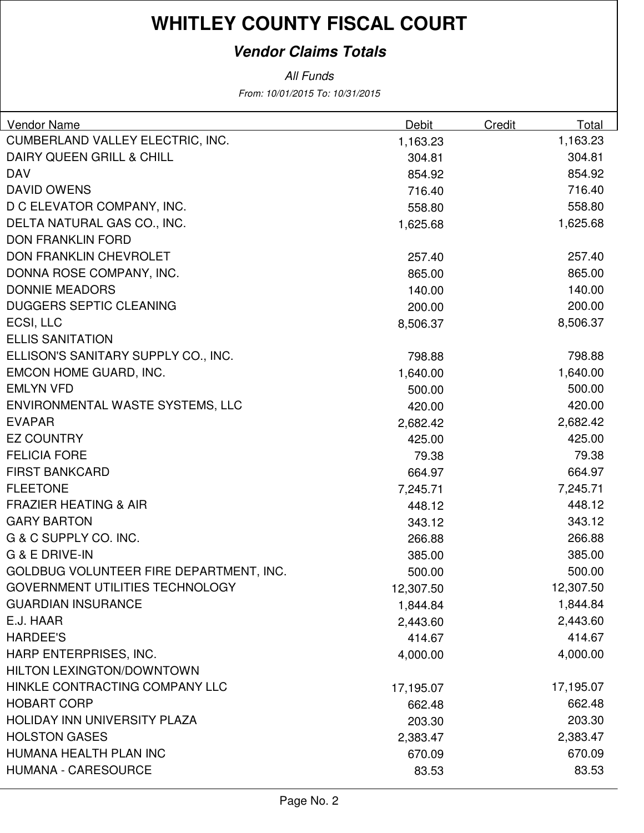### **Vendor Claims Totals**

| <b>Vendor Name</b>                      | <b>Debit</b> | Credit | Total     |
|-----------------------------------------|--------------|--------|-----------|
| CUMBERLAND VALLEY ELECTRIC, INC.        | 1,163.23     |        | 1,163.23  |
| DAIRY QUEEN GRILL & CHILL               | 304.81       |        | 304.81    |
| <b>DAV</b>                              | 854.92       |        | 854.92    |
| <b>DAVID OWENS</b>                      | 716.40       |        | 716.40    |
| D C ELEVATOR COMPANY, INC.              | 558.80       |        | 558.80    |
| DELTA NATURAL GAS CO., INC.             | 1,625.68     |        | 1,625.68  |
| <b>DON FRANKLIN FORD</b>                |              |        |           |
| DON FRANKLIN CHEVROLET                  | 257.40       |        | 257.40    |
| DONNA ROSE COMPANY, INC.                | 865.00       |        | 865.00    |
| <b>DONNIE MEADORS</b>                   | 140.00       |        | 140.00    |
| <b>DUGGERS SEPTIC CLEANING</b>          | 200.00       |        | 200.00    |
| ECSI, LLC                               | 8,506.37     |        | 8,506.37  |
| <b>ELLIS SANITATION</b>                 |              |        |           |
| ELLISON'S SANITARY SUPPLY CO., INC.     | 798.88       |        | 798.88    |
| EMCON HOME GUARD, INC.                  | 1,640.00     |        | 1,640.00  |
| <b>EMLYN VFD</b>                        | 500.00       |        | 500.00    |
| ENVIRONMENTAL WASTE SYSTEMS, LLC        | 420.00       |        | 420.00    |
| <b>EVAPAR</b>                           | 2,682.42     |        | 2,682.42  |
| <b>EZ COUNTRY</b>                       | 425.00       |        | 425.00    |
| <b>FELICIA FORE</b>                     | 79.38        |        | 79.38     |
| <b>FIRST BANKCARD</b>                   | 664.97       |        | 664.97    |
| <b>FLEETONE</b>                         | 7,245.71     |        | 7,245.71  |
| <b>FRAZIER HEATING &amp; AIR</b>        | 448.12       |        | 448.12    |
| <b>GARY BARTON</b>                      | 343.12       |        | 343.12    |
| G & C SUPPLY CO. INC.                   | 266.88       |        | 266.88    |
| G & E DRIVE-IN                          | 385.00       |        | 385.00    |
| GOLDBUG VOLUNTEER FIRE DEPARTMENT, INC. | 500.00       |        | 500.00    |
| <b>GOVERNMENT UTILITIES TECHNOLOGY</b>  | 12,307.50    |        | 12,307.50 |
| <b>GUARDIAN INSURANCE</b>               | 1,844.84     |        | 1,844.84  |
| E.J. HAAR                               | 2,443.60     |        | 2,443.60  |
| <b>HARDEE'S</b>                         | 414.67       |        | 414.67    |
| HARP ENTERPRISES, INC.                  | 4,000.00     |        | 4,000.00  |
| <b>HILTON LEXINGTON/DOWNTOWN</b>        |              |        |           |
| HINKLE CONTRACTING COMPANY LLC          | 17,195.07    |        | 17,195.07 |
| <b>HOBART CORP</b>                      | 662.48       |        | 662.48    |
| HOLIDAY INN UNIVERSITY PLAZA            | 203.30       |        | 203.30    |
| <b>HOLSTON GASES</b>                    | 2,383.47     |        | 2,383.47  |
| HUMANA HEALTH PLAN INC                  | 670.09       |        | 670.09    |
| <b>HUMANA - CARESOURCE</b>              | 83.53        |        | 83.53     |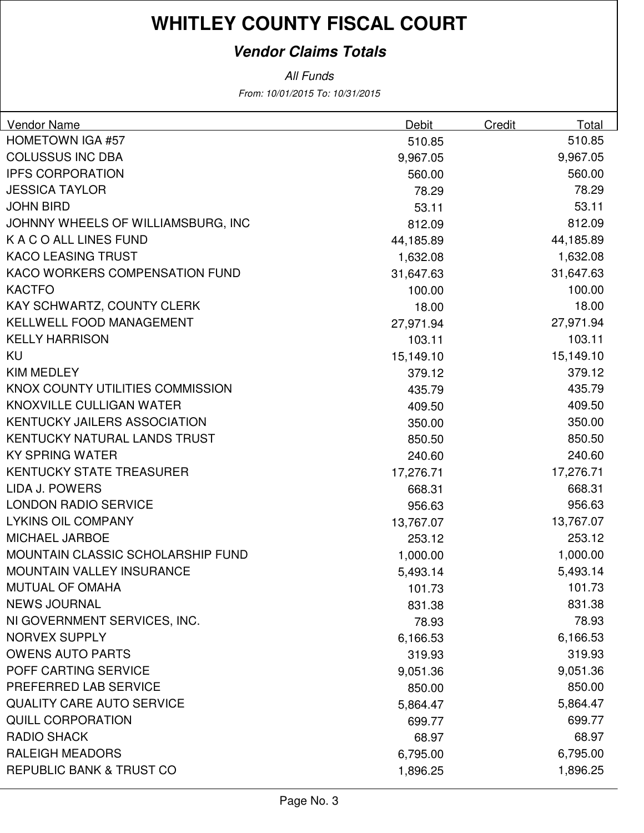### **Vendor Claims Totals**

| <b>Vendor Name</b>                  | Debit     | Credit | Total     |
|-------------------------------------|-----------|--------|-----------|
| <b>HOMETOWN IGA #57</b>             | 510.85    |        | 510.85    |
| <b>COLUSSUS INC DBA</b>             | 9,967.05  |        | 9,967.05  |
| <b>IPFS CORPORATION</b>             | 560.00    |        | 560.00    |
| <b>JESSICA TAYLOR</b>               | 78.29     |        | 78.29     |
| <b>JOHN BIRD</b>                    | 53.11     |        | 53.11     |
| JOHNNY WHEELS OF WILLIAMSBURG, INC  | 812.09    |        | 812.09    |
| K A C O ALL LINES FUND              | 44,185.89 |        | 44,185.89 |
| <b>KACO LEASING TRUST</b>           | 1,632.08  |        | 1,632.08  |
| KACO WORKERS COMPENSATION FUND      | 31,647.63 |        | 31,647.63 |
| <b>KACTFO</b>                       | 100.00    |        | 100.00    |
| KAY SCHWARTZ, COUNTY CLERK          | 18.00     |        | 18.00     |
| <b>KELLWELL FOOD MANAGEMENT</b>     | 27,971.94 |        | 27,971.94 |
| <b>KELLY HARRISON</b>               | 103.11    |        | 103.11    |
| KU                                  | 15,149.10 |        | 15,149.10 |
| <b>KIM MEDLEY</b>                   | 379.12    |        | 379.12    |
| KNOX COUNTY UTILITIES COMMISSION    | 435.79    |        | 435.79    |
| KNOXVILLE CULLIGAN WATER            | 409.50    |        | 409.50    |
| <b>KENTUCKY JAILERS ASSOCIATION</b> | 350.00    |        | 350.00    |
| KENTUCKY NATURAL LANDS TRUST        | 850.50    |        | 850.50    |
| <b>KY SPRING WATER</b>              | 240.60    |        | 240.60    |
| <b>KENTUCKY STATE TREASURER</b>     | 17,276.71 |        | 17,276.71 |
| LIDA J. POWERS                      | 668.31    |        | 668.31    |
| <b>LONDON RADIO SERVICE</b>         | 956.63    |        | 956.63    |
| <b>LYKINS OIL COMPANY</b>           | 13,767.07 |        | 13,767.07 |
| <b>MICHAEL JARBOE</b>               | 253.12    |        | 253.12    |
| MOUNTAIN CLASSIC SCHOLARSHIP FUND   | 1,000.00  |        | 1,000.00  |
| MOUNTAIN VALLEY INSURANCE           | 5,493.14  |        | 5,493.14  |
| <b>MUTUAL OF OMAHA</b>              | 101.73    |        | 101.73    |
| <b>NEWS JOURNAL</b>                 | 831.38    |        | 831.38    |
| NI GOVERNMENT SERVICES, INC.        | 78.93     |        | 78.93     |
| <b>NORVEX SUPPLY</b>                | 6,166.53  |        | 6,166.53  |
| <b>OWENS AUTO PARTS</b>             | 319.93    |        | 319.93    |
| POFF CARTING SERVICE                | 9,051.36  |        | 9,051.36  |
| PREFERRED LAB SERVICE               | 850.00    |        | 850.00    |
| <b>QUALITY CARE AUTO SERVICE</b>    | 5,864.47  |        | 5,864.47  |
| <b>QUILL CORPORATION</b>            | 699.77    |        | 699.77    |
| <b>RADIO SHACK</b>                  | 68.97     |        | 68.97     |
| <b>RALEIGH MEADORS</b>              | 6,795.00  |        | 6,795.00  |
| REPUBLIC BANK & TRUST CO            | 1,896.25  |        | 1,896.25  |